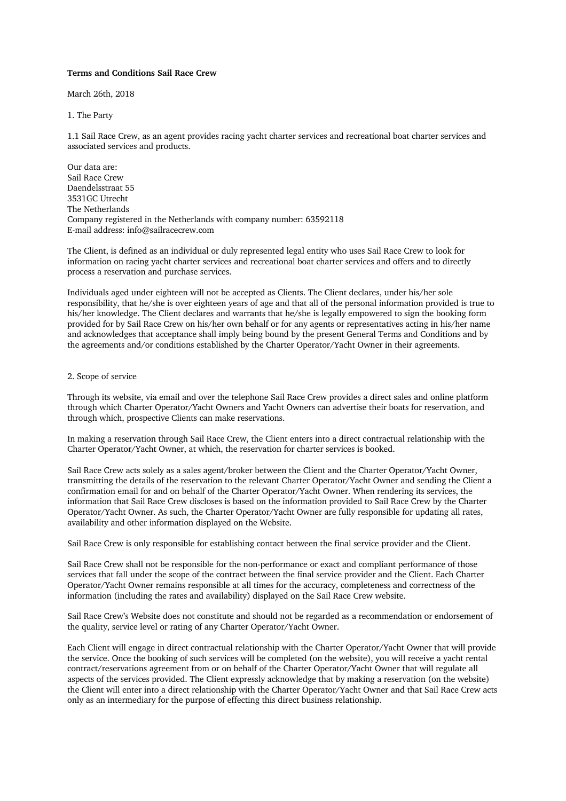# **Terms and Conditions Sail Race Crew**

March 26th, 2018

## 1. The Party

1.1 Sail Race Crew, as an agent provides racing yacht charter services and recreational boat charter services and associated services and products.

Our data are: Sail Race Crew Daendelsstraat 55 3531GC Utrecht The Netherlands Company registered in the Netherlands with company number: 63592118 E-mail address: info@sailracecrew.com

The Client, is defined as an individual or duly represented legal entity who uses Sail Race Crew to look for information on racing yacht charter services and recreational boat charter services and offers and to directly process a reservation and purchase services.

Individuals aged under eighteen will not be accepted as Clients. The Client declares, under his/her sole responsibility, that he/she is over eighteen years of age and that all of the personal information provided is true to his/her knowledge. The Client declares and warrants that he/she is legally empowered to sign the booking form provided for by Sail Race Crew on his/her own behalf or for any agents or representatives acting in his/her name and acknowledges that acceptance shall imply being bound by the present General Terms and Conditions and by the agreements and/or conditions established by the Charter Operator/Yacht Owner in their agreements.

## 2. Scope of service

Through its website, via email and over the telephone Sail Race Crew provides a direct sales and online platform through which Charter Operator/Yacht Owners and Yacht Owners can advertise their boats for reservation, and through which, prospective Clients can make reservations.

In making a reservation through Sail Race Crew, the Client enters into a direct contractual relationship with the Charter Operator/Yacht Owner, at which, the reservation for charter services is booked.

Sail Race Crew acts solely as a sales agent/broker between the Client and the Charter Operator/Yacht Owner, transmitting the details of the reservation to the relevant Charter Operator/Yacht Owner and sending the Client a confirmation email for and on behalf of the Charter Operator/Yacht Owner. When rendering its services, the information that Sail Race Crew discloses is based on the information provided to Sail Race Crew by the Charter Operator/Yacht Owner. As such, the Charter Operator/Yacht Owner are fully responsible for updating all rates, availability and other information displayed on the Website.

Sail Race Crew is only responsible for establishing contact between the final service provider and the Client.

Sail Race Crew shall not be responsible for the non-performance or exact and compliant performance of those services that fall under the scope of the contract between the final service provider and the Client. Each Charter Operator/Yacht Owner remains responsible at all times for the accuracy, completeness and correctness of the information (including the rates and availability) displayed on the Sail Race Crew website.

Sail Race Crew's Website does not constitute and should not be regarded as a recommendation or endorsement of the quality, service level or rating of any Charter Operator/Yacht Owner.

Each Client will engage in direct contractual relationship with the Charter Operator/Yacht Owner that will provide the service. Once the booking of such services will be completed (on the website), you will receive a yacht rental contract/reservations agreement from or on behalf of the Charter Operator/Yacht Owner that will regulate all aspects of the services provided. The Client expressly acknowledge that by making a reservation (on the website) the Client will enter into a direct relationship with the Charter Operator/Yacht Owner and that Sail Race Crew acts only as an intermediary for the purpose of effecting this direct business relationship.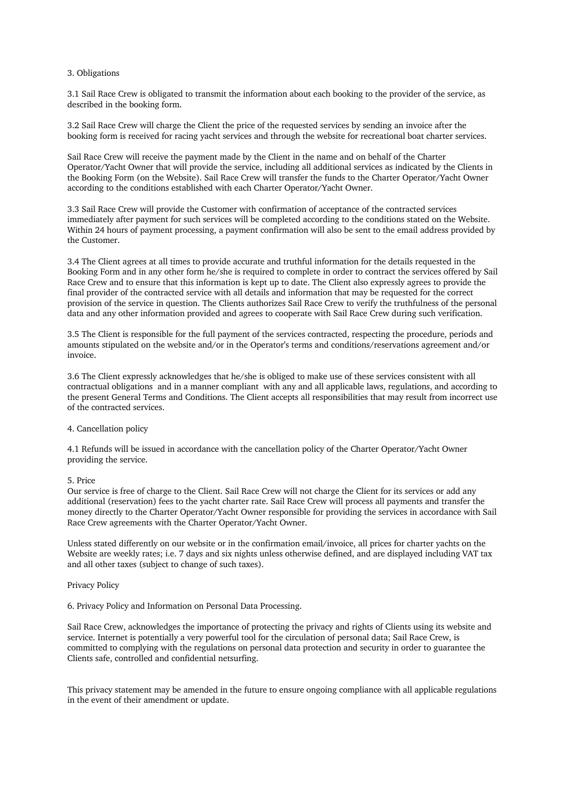## 3. Obligations

3.1 Sail Race Crew is obligated to transmit the information about each booking to the provider of the service, as described in the booking form.

3.2 Sail Race Crew will charge the Client the price of the requested services by sending an invoice after the booking form is received for racing yacht services and through the website for recreational boat charter services.

Sail Race Crew will receive the payment made by the Client in the name and on behalf of the Charter Operator/Yacht Owner that will provide the service, including all additional services as indicated by the Clients in the Booking Form (on the Website). Sail Race Crew will transfer the funds to the Charter Operator/Yacht Owner according to the conditions established with each Charter Operator/Yacht Owner.

3.3 Sail Race Crew will provide the Customer with confirmation of acceptance of the contracted services immediately after payment for such services will be completed according to the conditions stated on the Website. Within 24 hours of payment processing, a payment confirmation will also be sent to the email address provided by the Customer.

3.4 The Client agrees at all times to provide accurate and truthful information for the details requested in the Booking Form and in any other form he/she is required to complete in order to contract the services offered by Sail Race Crew and to ensure that this information is kept up to date. The Client also expressly agrees to provide the final provider of the contracted service with all details and information that may be requested for the correct provision of the service in question. The Clients authorizes Sail Race Crew to verify the truthfulness of the personal data and any other information provided and agrees to cooperate with Sail Race Crew during such verification.

3.5 The Client is responsible for the full payment of the services contracted, respecting the procedure, periods and amounts stipulated on the website and/or in the Operator's terms and conditions/reservations agreement and/or invoice.

3.6 The Client expressly acknowledges that he/she is obliged to make use of these services consistent with all contractual obligations and in a manner compliant with any and all applicable laws, regulations, and according to the present General Terms and Conditions. The Client accepts all responsibilities that may result from incorrect use of the contracted services.

# 4. Cancellation policy

4.1 Refunds will be issued in accordance with the cancellation policy of the Charter Operator/Yacht Owner providing the service.

# 5. Price

Our service is free of charge to the Client. Sail Race Crew will not charge the Client for its services or add any additional (reservation) fees to the yacht charter rate. Sail Race Crew will process all payments and transfer the money directly to the Charter Operator/Yacht Owner responsible for providing the services in accordance with Sail Race Crew agreements with the Charter Operator/Yacht Owner.

Unless stated differently on our website or in the confirmation email/invoice, all prices for charter yachts on the Website are weekly rates; i.e. 7 days and six nights unless otherwise defined, and are displayed including VAT tax and all other taxes (subject to change of such taxes).

#### Privacy Policy

6. Privacy Policy and Information on Personal Data Processing.

Sail Race Crew, acknowledges the importance of protecting the privacy and rights of Clients using its website and service. Internet is potentially a very powerful tool for the circulation of personal data; Sail Race Crew, is committed to complying with the regulations on personal data protection and security in order to guarantee the Clients safe, controlled and confidential netsurfing.

This privacy statement may be amended in the future to ensure ongoing compliance with all applicable regulations in the event of their amendment or update.